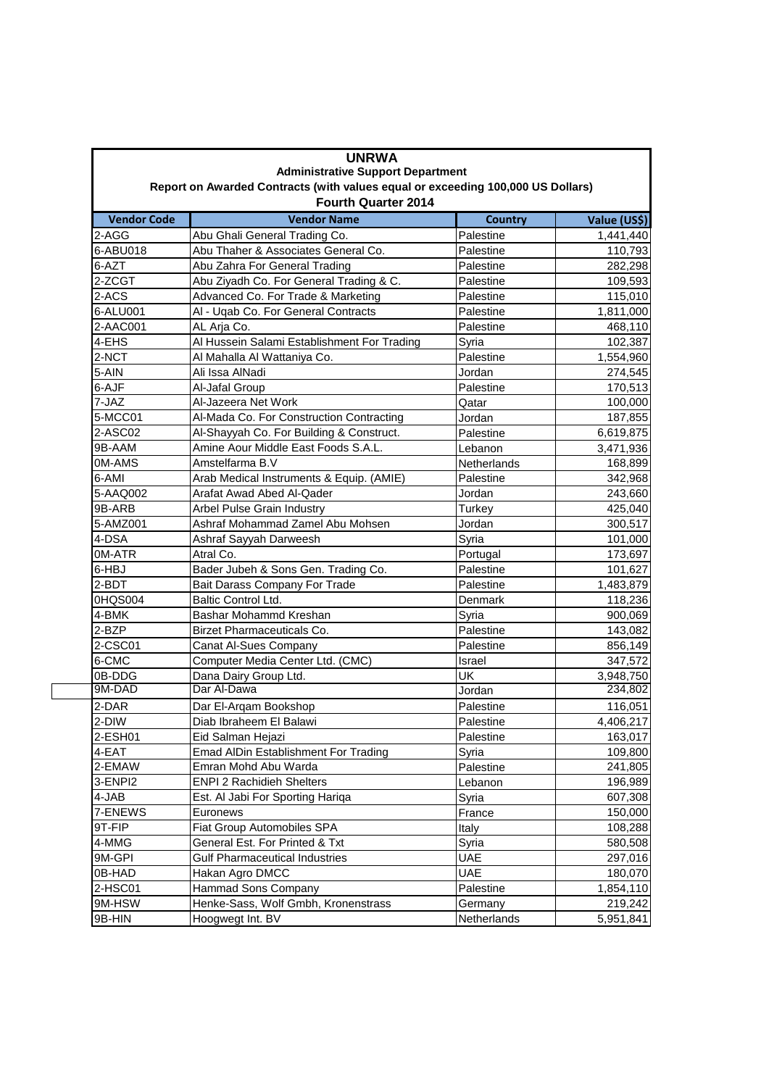| <b>UNRWA</b><br><b>Administrative Support Department</b><br>Report on Awarded Contracts (with values equal or exceeding 100,000 US Dollars)<br><b>Fourth Quarter 2014</b> |                                             |             |           |  |
|---------------------------------------------------------------------------------------------------------------------------------------------------------------------------|---------------------------------------------|-------------|-----------|--|
|                                                                                                                                                                           |                                             |             |           |  |
| 2-AGG                                                                                                                                                                     | Abu Ghali General Trading Co.               | Palestine   | 1,441,440 |  |
| 6-ABU018                                                                                                                                                                  | Abu Thaher & Associates General Co.         | Palestine   | 110,793   |  |
| 6-AZT                                                                                                                                                                     | Abu Zahra For General Trading               | Palestine   | 282,298   |  |
| 2-ZCGT                                                                                                                                                                    | Abu Ziyadh Co. For General Trading & C.     | Palestine   | 109,593   |  |
| 2-ACS                                                                                                                                                                     | Advanced Co. For Trade & Marketing          | Palestine   | 115,010   |  |
| 6-ALU001                                                                                                                                                                  | Al - Uqab Co. For General Contracts         | Palestine   | 1,811,000 |  |
| 2-AAC001                                                                                                                                                                  | AL Arja Co.                                 | Palestine   | 468,110   |  |
| 4-EHS                                                                                                                                                                     | Al Hussein Salami Establishment For Trading | Syria       | 102,387   |  |
| 2-NCT                                                                                                                                                                     | Al Mahalla Al Wattaniya Co.                 | Palestine   | 1,554,960 |  |
| 5-AIN                                                                                                                                                                     | Ali Issa AlNadi                             | Jordan      | 274,545   |  |
| 6-AJF                                                                                                                                                                     | Al-Jafal Group                              | Palestine   | 170,513   |  |
| 7-JAZ                                                                                                                                                                     | Al-Jazeera Net Work                         | Qatar       | 100,000   |  |
| 5-MCC01                                                                                                                                                                   | Al-Mada Co. For Construction Contracting    | Jordan      | 187,855   |  |
| 2-ASC02                                                                                                                                                                   | Al-Shayyah Co. For Building & Construct.    | Palestine   | 6,619,875 |  |
| 9B-AAM                                                                                                                                                                    | Amine Aour Middle East Foods S.A.L.         | Lebanon     | 3,471,936 |  |
| 0M-AMS                                                                                                                                                                    | Amstelfarma B.V                             | Netherlands | 168,899   |  |
| 6-AMI                                                                                                                                                                     | Arab Medical Instruments & Equip. (AMIE)    | Palestine   | 342,968   |  |
| 5-AAQ002                                                                                                                                                                  | Arafat Awad Abed Al-Qader                   | Jordan      | 243,660   |  |
| 9B-ARB                                                                                                                                                                    | Arbel Pulse Grain Industry                  | Turkey      | 425,040   |  |
| 5-AMZ001                                                                                                                                                                  | Ashraf Mohammad Zamel Abu Mohsen            | Jordan      | 300,517   |  |
| 4-DSA                                                                                                                                                                     | Ashraf Sayyah Darweesh                      | Syria       | 101,000   |  |
| 0M-ATR                                                                                                                                                                    | Atral Co.                                   | Portugal    | 173,697   |  |
| 6-HBJ                                                                                                                                                                     | Bader Jubeh & Sons Gen. Trading Co.         | Palestine   | 101,627   |  |
| 2-BDT                                                                                                                                                                     | Bait Darass Company For Trade               | Palestine   | 1,483,879 |  |
| 0HQS004                                                                                                                                                                   | <b>Baltic Control Ltd.</b>                  | Denmark     | 118,236   |  |
| 4-BMK                                                                                                                                                                     | Bashar Mohammd Kreshan                      | Syria       | 900,069   |  |
| 2-BZP                                                                                                                                                                     | Birzet Pharmaceuticals Co.                  | Palestine   | 143,082   |  |
| 2-CSC01                                                                                                                                                                   | Canat Al-Sues Company                       | Palestine   | 856,149   |  |
| 6-CMC                                                                                                                                                                     | Computer Media Center Ltd. (CMC)            | Israel      | 347,572   |  |
| 0B-DDG                                                                                                                                                                    | Dana Dairy Group Ltd.                       | UK          | 3,948,750 |  |
| 9M-DAD                                                                                                                                                                    | Dar Al-Dawa                                 | Jordan      | 234,802   |  |
| 2-DAR                                                                                                                                                                     | Dar El-Arqam Bookshop                       | Palestine   | 116,051   |  |
| 2-DIW                                                                                                                                                                     | Diab Ibraheem El Balawi                     | Palestine   | 4,406,217 |  |
| 2-ESH01                                                                                                                                                                   | Eid Salman Hejazi                           | Palestine   | 163,017   |  |
| 4-EAT                                                                                                                                                                     | Emad AlDin Establishment For Trading        | Syria       | 109,800   |  |
| 2-EMAW                                                                                                                                                                    | Emran Mohd Abu Warda                        | Palestine   | 241,805   |  |
| 3-ENPI2                                                                                                                                                                   | <b>ENPI 2 Rachidieh Shelters</b>            | Lebanon     | 196,989   |  |
| 4-JAB                                                                                                                                                                     | Est. Al Jabi For Sporting Hariga            | Syria       | 607,308   |  |
| 7-ENEWS                                                                                                                                                                   | Euronews                                    | France      | 150,000   |  |
| 9T-FIP                                                                                                                                                                    | Fiat Group Automobiles SPA                  | Italy       | 108,288   |  |
| 4-MMG                                                                                                                                                                     | General Est. For Printed & Txt              | Syria       | 580,508   |  |
| 9M-GPI                                                                                                                                                                    | <b>Gulf Pharmaceutical Industries</b>       | <b>UAE</b>  | 297,016   |  |
| 0B-HAD                                                                                                                                                                    | Hakan Agro DMCC                             | <b>UAE</b>  | 180,070   |  |
| 2-HSC01                                                                                                                                                                   | Hammad Sons Company                         | Palestine   | 1,854,110 |  |
| 9M-HSW                                                                                                                                                                    | Henke-Sass, Wolf Gmbh, Kronenstrass         | Germany     | 219,242   |  |
|                                                                                                                                                                           | Hoogwegt Int. BV                            | Netherlands |           |  |
| 9B-HIN                                                                                                                                                                    |                                             |             | 5,951,841 |  |